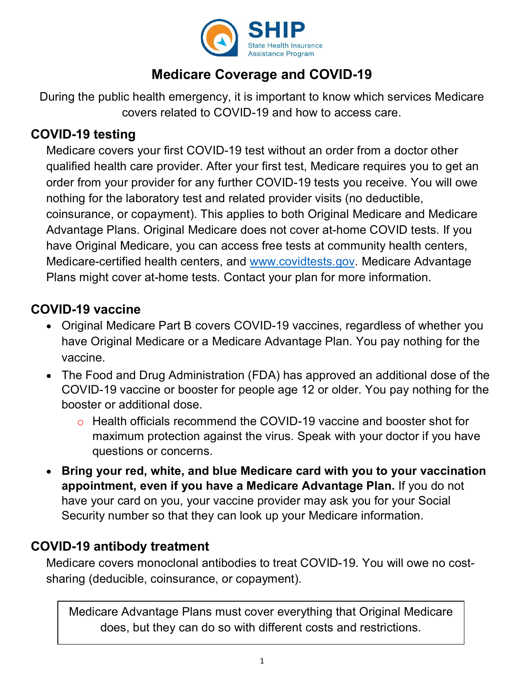

# **Medicare Coverage and COVID-19**

During the public health emergency, it is important to know which services Medicare covers related to COVID-19 and how to access care.

#### **COVID-19 testing**

Medicare covers your first COVID-19 test without an order from a doctor other qualified health care provider. After your first test, Medicare requires you to get an order from your provider for any further COVID-19 tests you receive. You will owe nothing for the laboratory test and related provider visits (no deductible, coinsurance, or copayment). This applies to both Original Medicare and Medicare Advantage Plans. Original Medicare does not cover at-home COVID tests. If you have Original Medicare, you can access free tests at community health centers, Medicare-certified health centers, and [www.covidtests.gov.](http://www.covidtests.gov/) Medicare Advantage Plans might cover at-home tests. Contact your plan for more information.

### **COVID-19 vaccine**

- Original Medicare Part B covers COVID-19 vaccines, regardless of whether you have Original Medicare or a Medicare Advantage Plan. You pay nothing for the vaccine.
- The Food and Drug Administration (FDA) has approved an additional dose of the COVID-19 vaccine or booster for people age 12 or older. You pay nothing for the booster or additional dose.
	- o Health officials recommend the COVID-19 vaccine and booster shot for maximum protection against the virus. Speak with your doctor if you have questions or concerns.
- **Bring your red, white, and blue Medicare card with you to your vaccination appointment, even if you have a Medicare Advantage Plan.** If you do not have your card on you, your vaccine provider may ask you for your Social Security number so that they can look up your Medicare information.

### **COVID-19 antibody treatment**

Medicare covers monoclonal antibodies to treat COVID-19. You will owe no costsharing (deducible, coinsurance, or copayment).

Medicare Advantage Plans must cover everything that Original Medicare does, but they can do so with different costs and restrictions.